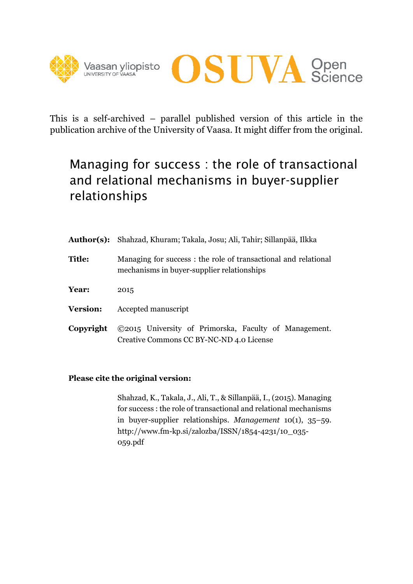



This is a self-archived – parallel published version of this article in the publication archive of the University of Vaasa. It might differ from the original.

# Managing for success : the role of transactional and relational mechanisms in buyer-supplier relationships

|                 | Author(s): Shahzad, Khuram; Takala, Josu; Ali, Tahir; Sillanpää, Ilkka                                       |  |  |  |
|-----------------|--------------------------------------------------------------------------------------------------------------|--|--|--|
| <b>Title:</b>   | Managing for success: the role of transactional and relational<br>mechanisms in buyer-supplier relationships |  |  |  |
| Year:           | 2015                                                                                                         |  |  |  |
| <b>Version:</b> | Accepted manuscript                                                                                          |  |  |  |
| Copyright       | ©2015 University of Primorska, Faculty of Management.<br>Creative Commons CC BY-NC-ND 4.0 License            |  |  |  |

## **Please cite the original version:**

Shahzad, K., Takala, J., Ali, T., & Sillanpää, I., (2015). Managing for success : the role of transactional and relational mechanisms in buyer-supplier relationships. *Management* 10(1), 35–59. http://www.fm-kp.si/zalozba/ISSN/1854-4231/10\_035- 059.pdf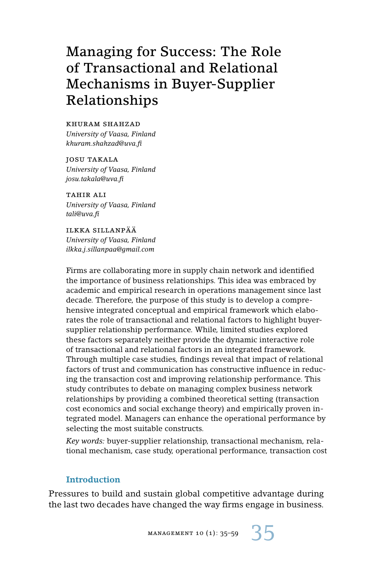## Managing for Success: The Role of Transactional and Relational Mechanisms in Buyer-Supplier Relationships

khuram shahzad *University of Vaasa, Finland khuram.shahzad@uva.fi*

josu takala *University of Vaasa, Finland josu.takala@uva.fi*

TAHIR ALI *University of Vaasa, Finland tali@uva.fi*

ilkka sillanpää *University of Vaasa, Finland ilkka.j.sillanpaa@gmail.com*

Firms are collaborating more in supply chain network and identified the importance of business relationships. This idea was embraced by academic and empirical research in operations management since last decade. Therefore, the purpose of this study is to develop a comprehensive integrated conceptual and empirical framework which elaborates the role of transactional and relational factors to highlight buyersupplier relationship performance. While, limited studies explored these factors separately neither provide the dynamic interactive role of transactional and relational factors in an integrated framework. Through multiple case studies, findings reveal that impact of relational factors of trust and communication has constructive influence in reducing the transaction cost and improving relationship performance. This study contributes to debate on managing complex business network relationships by providing a combined theoretical setting (transaction cost economics and social exchange theory) and empirically proven integrated model. Managers can enhance the operational performance by selecting the most suitable constructs.

*Key words:* buyer-supplier relationship, transactional mechanism, relational mechanism, case study, operational performance, transaction cost

## **Introduction**

Pressures to build and sustain global competitive advantage during the last two decades have changed the way firms engage in business.

MANAGEMENT 10 (1):  $35-59$  35

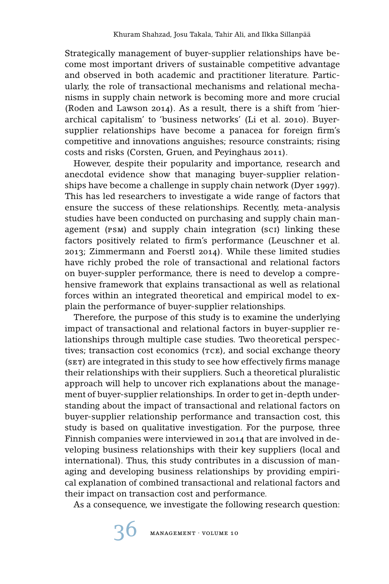Strategically management of buyer-supplier relationships have become most important drivers of sustainable competitive advantage and observed in both academic and practitioner literature. Particularly, the role of transactional mechanisms and relational mechanisms in supply chain network is becoming more and more crucial (Roden and Lawson 2014). As a result, there is a shift from 'hierarchical capitalism' to 'business networks' (Li et al. 2010). Buyersupplier relationships have become a panacea for foreign firm's competitive and innovations anguishes; resource constraints; rising costs and risks (Corsten, Gruen, and Peyinghaus 2011).

However, despite their popularity and importance, research and anecdotal evidence show that managing buyer-supplier relationships have become a challenge in supply chain network (Dyer 1997). This has led researchers to investigate a wide range of factors that ensure the success of these relationships. Recently, meta-analysis studies have been conducted on purchasing and supply chain management (psm) and supply chain integration (sci) linking these factors positively related to firm's performance (Leuschner et al. 2013; Zimmermann and Foerstl 2014). While these limited studies have richly probed the role of transactional and relational factors on buyer-suppler performance, there is need to develop a comprehensive framework that explains transactional as well as relational forces within an integrated theoretical and empirical model to explain the performance of buyer-supplier relationships.

Therefore, the purpose of this study is to examine the underlying impact of transactional and relational factors in buyer-supplier relationships through multiple case studies. Two theoretical perspectives; transaction cost economics  $(rce)$ , and social exchange theory (SET) are integrated in this study to see how effectively firms manage their relationships with their suppliers. Such a theoretical pluralistic approach will help to uncover rich explanations about the management of buyer-supplier relationships. In order to get in-depth understanding about the impact of transactional and relational factors on buyer-supplier relationship performance and transaction cost, this study is based on qualitative investigation. For the purpose, three Finnish companies were interviewed in 2014 that are involved in developing business relationships with their key suppliers (local and international). Thus, this study contributes in a discussion of managing and developing business relationships by providing empirical explanation of combined transactional and relational factors and their impact on transaction cost and performance.

As a consequence, we investigate the following research question: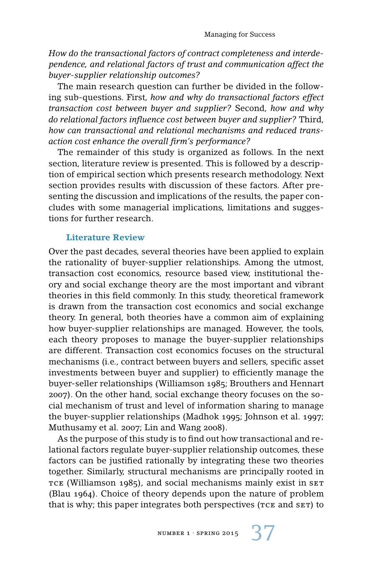*How do the transactional factors of contract completeness and interdependence, and relational factors of trust and communication affect the buyer-supplier relationship outcomes?*

The main research question can further be divided in the following sub-questions. First, *how and why do transactional factors effect transaction cost between buyer and supplier?* Second, *how and why do relational factors influence cost between buyer and supplier?* Third, *how can transactional and relational mechanisms and reduced transaction cost enhance the overall firm's performance?*

The remainder of this study is organized as follows. In the next section, literature review is presented. This is followed by a description of empirical section which presents research methodology. Next section provides results with discussion of these factors. After presenting the discussion and implications of the results, the paper concludes with some managerial implications, limitations and suggestions for further research.

## **Literature Review**

Over the past decades, several theories have been applied to explain the rationality of buyer-supplier relationships. Among the utmost, transaction cost economics, resource based view, institutional theory and social exchange theory are the most important and vibrant theories in this field commonly. In this study, theoretical framework is drawn from the transaction cost economics and social exchange theory. In general, both theories have a common aim of explaining how buyer-supplier relationships are managed. However, the tools, each theory proposes to manage the buyer-supplier relationships are different. Transaction cost economics focuses on the structural mechanisms (i.e., contract between buyers and sellers, specific asset investments between buyer and supplier) to efficiently manage the buyer-seller relationships (Williamson 1985; Brouthers and Hennart 2007). On the other hand, social exchange theory focuses on the social mechanism of trust and level of information sharing to manage the buyer-supplier relationships (Madhok 1995; Johnson et al. 1997; Muthusamy et al. 2007; Lin and Wang 2008).

As the purpose of this study is to find out how transactional and relational factors regulate buyer-supplier relationship outcomes, these factors can be justified rationally by integrating these two theories together. Similarly, structural mechanisms are principally rooted in TCE (Williamson 1985), and social mechanisms mainly exist in SET (Blau 1964). Choice of theory depends upon the nature of problem that is why; this paper integrates both perspectives ( $TCE$  and  $SET$ ) to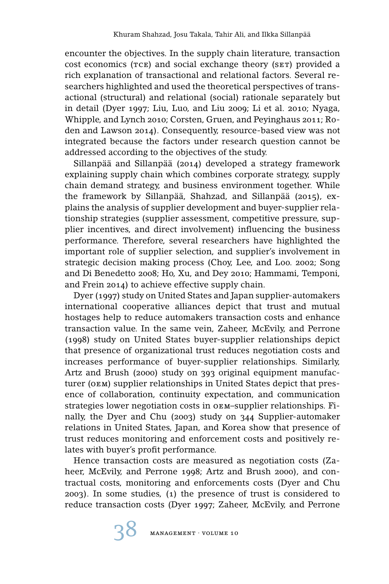encounter the objectives. In the supply chain literature, transaction cost economics (TCE) and social exchange theory (SET) provided a rich explanation of transactional and relational factors. Several researchers highlighted and used the theoretical perspectives of transactional (structural) and relational (social) rationale separately but in detail (Dyer 1997; Liu, Luo, and Liu 2009; Li et al. 2010; Nyaga, Whipple, and Lynch 2010; Corsten, Gruen, and Peyinghaus 2011; Roden and Lawson 2014). Consequently, resource-based view was not integrated because the factors under research question cannot be addressed according to the objectives of the study.

Sillanpää and Sillanpää (2014) developed a strategy framework explaining supply chain which combines corporate strategy, supply chain demand strategy, and business environment together. While the framework by Sillanpää, Shahzad, and Sillanpää (2015), explains the analysis of supplier development and buyer-supplier relationship strategies (supplier assessment, competitive pressure, supplier incentives, and direct involvement) influencing the business performance. Therefore, several researchers have highlighted the important role of supplier selection, and supplier's involvement in strategic decision making process (Choy, Lee, and Loo. 2002; Song and Di Benedetto 2008; Ho, Xu, and Dey 2010; Hammami, Temponi, and Frein 2014) to achieve effective supply chain.

Dyer (1997) study on United States and Japan supplier-automakers international cooperative alliances depict that trust and mutual hostages help to reduce automakers transaction costs and enhance transaction value. In the same vein, Zaheer, McEvily, and Perrone (1998) study on United States buyer-supplier relationships depict that presence of organizational trust reduces negotiation costs and increases performance of buyer-supplier relationships. Similarly, Artz and Brush (2000) study on 393 original equipment manufacturer (oem) supplier relationships in United States depict that presence of collaboration, continuity expectation, and communication strategies lower negotiation costs in oem–supplier relationships. Finally, the Dyer and Chu (2003) study on 344 Supplier-automaker relations in United States, Japan, and Korea show that presence of trust reduces monitoring and enforcement costs and positively relates with buyer's profit performance.

Hence transaction costs are measured as negotiation costs (Zaheer, McEvily, and Perrone 1998; Artz and Brush 2000), and contractual costs, monitoring and enforcements costs (Dyer and Chu 2003). In some studies, (1) the presence of trust is considered to reduce transaction costs (Dyer 1997; Zaheer, McEvily, and Perrone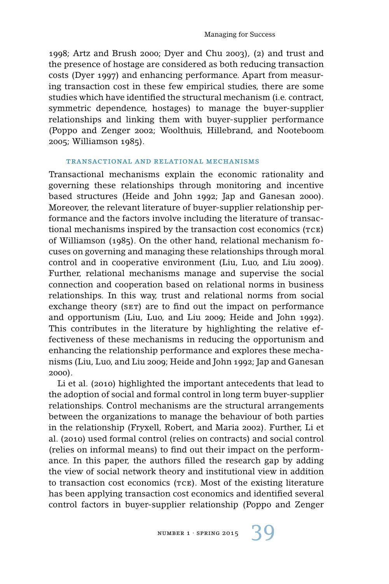1998; Artz and Brush 2000; Dyer and Chu 2003), (2) and trust and the presence of hostage are considered as both reducing transaction costs (Dyer 1997) and enhancing performance. Apart from measuring transaction cost in these few empirical studies, there are some studies which have identified the structural mechanism (i.e. contract, symmetric dependence, hostages) to manage the buyer-supplier relationships and linking them with buyer-supplier performance (Poppo and Zenger 2002; Woolthuis, Hillebrand, and Nooteboom 2005; Williamson 1985).

#### transactional and relational mechanisms

Transactional mechanisms explain the economic rationality and governing these relationships through monitoring and incentive based structures (Heide and John 1992; Jap and Ganesan 2000). Moreover, the relevant literature of buyer-supplier relationship performance and the factors involve including the literature of transactional mechanisms inspired by the transaction cost economics  $(rce)$ of Williamson (1985). On the other hand, relational mechanism focuses on governing and managing these relationships through moral control and in cooperative environment (Liu, Luo, and Liu 2009). Further, relational mechanisms manage and supervise the social connection and cooperation based on relational norms in business relationships. In this way, trust and relational norms from social exchange theory (SET) are to find out the impact on performance and opportunism (Liu, Luo, and Liu 2009; Heide and John 1992). This contributes in the literature by highlighting the relative effectiveness of these mechanisms in reducing the opportunism and enhancing the relationship performance and explores these mechanisms (Liu, Luo, and Liu 2009; Heide and John 1992; Jap and Ganesan 2000).

Li et al. (2010) highlighted the important antecedents that lead to the adoption of social and formal control in long term buyer-supplier relationships. Control mechanisms are the structural arrangements between the organizations to manage the behaviour of both parties in the relationship (Fryxell, Robert, and Maria 2002). Further, Li et al. (2010) used formal control (relies on contracts) and social control (relies on informal means) to find out their impact on the performance. In this paper, the authors filled the research gap by adding the view of social network theory and institutional view in addition to transaction cost economics (TCE). Most of the existing literature has been applying transaction cost economics and identified several control factors in buyer-supplier relationship (Poppo and Zenger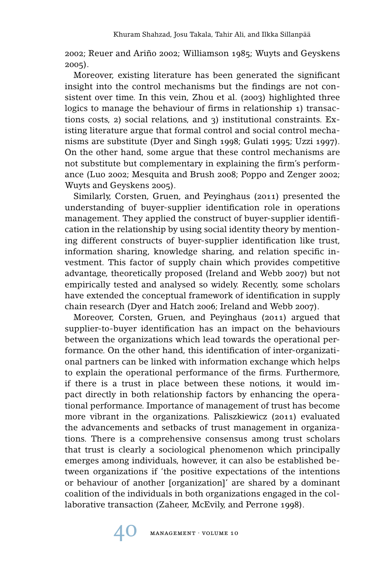2002; Reuer and Ariño 2002; Williamson 1985; Wuyts and Geyskens 2005).

Moreover, existing literature has been generated the significant insight into the control mechanisms but the findings are not consistent over time. In this vein, Zhou et al. (2003) highlighted three logics to manage the behaviour of firms in relationship 1) transactions costs, 2) social relations, and 3) institutional constraints. Existing literature argue that formal control and social control mechanisms are substitute (Dyer and Singh 1998; Gulati 1995; Uzzi 1997). On the other hand, some argue that these control mechanisms are not substitute but complementary in explaining the firm's performance (Luo 2002; Mesquita and Brush 2008; Poppo and Zenger 2002; Wuyts and Geyskens 2005).

Similarly, Corsten, Gruen, and Peyinghaus (2011) presented the understanding of buyer-supplier identification role in operations management. They applied the construct of buyer-supplier identification in the relationship by using social identity theory by mentioning different constructs of buyer-supplier identification like trust, information sharing, knowledge sharing, and relation specific investment. This factor of supply chain which provides competitive advantage, theoretically proposed (Ireland and Webb 2007) but not empirically tested and analysed so widely. Recently, some scholars have extended the conceptual framework of identification in supply chain research (Dyer and Hatch 2006; Ireland and Webb 2007).

Moreover, Corsten, Gruen, and Peyinghaus (2011) argued that supplier-to-buyer identification has an impact on the behaviours between the organizations which lead towards the operational performance. On the other hand, this identification of inter-organizational partners can be linked with information exchange which helps to explain the operational performance of the firms. Furthermore, if there is a trust in place between these notions, it would impact directly in both relationship factors by enhancing the operational performance. Importance of management of trust has become more vibrant in the organizations. Paliszkiewicz (2011) evaluated the advancements and setbacks of trust management in organizations. There is a comprehensive consensus among trust scholars that trust is clearly a sociological phenomenon which principally emerges among individuals, however, it can also be established between organizations if 'the positive expectations of the intentions or behaviour of another [organization]' are shared by a dominant coalition of the individuals in both organizations engaged in the collaborative transaction (Zaheer, McEvily, and Perrone 1998).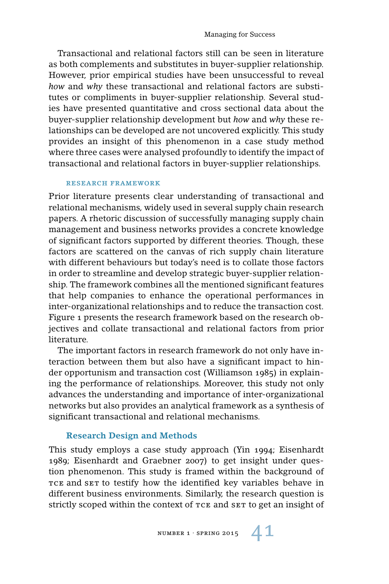Transactional and relational factors still can be seen in literature as both complements and substitutes in buyer-supplier relationship. However, prior empirical studies have been unsuccessful to reveal *how* and *why* these transactional and relational factors are substitutes or compliments in buyer-supplier relationship. Several studies have presented quantitative and cross sectional data about the buyer-supplier relationship development but *how* and *why* these relationships can be developed are not uncovered explicitly. This study provides an insight of this phenomenon in a case study method where three cases were analysed profoundly to identify the impact of transactional and relational factors in buyer-supplier relationships.

#### research framework

Prior literature presents clear understanding of transactional and relational mechanisms, widely used in several supply chain research papers. A rhetoric discussion of successfully managing supply chain management and business networks provides a concrete knowledge of significant factors supported by different theories. Though, these factors are scattered on the canvas of rich supply chain literature with different behaviours but today's need is to collate those factors in order to streamline and develop strategic buyer-supplier relationship. The framework combines all the mentioned significant features that help companies to enhance the operational performances in inter-organizational relationships and to reduce the transaction cost. Figure 1 presents the research framework based on the research objectives and collate transactional and relational factors from prior literature.

The important factors in research framework do not only have interaction between them but also have a significant impact to hinder opportunism and transaction cost (Williamson 1985) in explaining the performance of relationships. Moreover, this study not only advances the understanding and importance of inter-organizational networks but also provides an analytical framework as a synthesis of significant transactional and relational mechanisms.

## **Research Design and Methods**

This study employs a case study approach (Yin 1994; Eisenhardt 1989; Eisenhardt and Graebner 2007) to get insight under question phenomenon. This study is framed within the background of TCE and SET to testify how the identified key variables behave in different business environments. Similarly, the research question is strictly scoped within the context of TCE and SET to get an insight of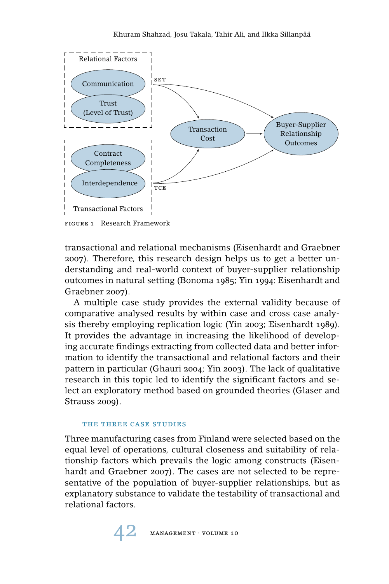

transactional and relational mechanisms (Eisenhardt and Graebner 2007). Therefore, this research design helps us to get a better understanding and real-world context of buyer-supplier relationship outcomes in natural setting (Bonoma 1985; Yin 1994: Eisenhardt and Graebner 2007).

A multiple case study provides the external validity because of comparative analysed results by within case and cross case analysis thereby employing replication logic (Yin 2003; Eisenhardt 1989). It provides the advantage in increasing the likelihood of developing accurate findings extracting from collected data and better information to identify the transactional and relational factors and their pattern in particular (Ghauri 2004; Yin 2003). The lack of qualitative research in this topic led to identify the significant factors and select an exploratory method based on grounded theories (Glaser and Strauss 2009).

#### the three case studies

Three manufacturing cases from Finland were selected based on the equal level of operations, cultural closeness and suitability of relationship factors which prevails the logic among constructs (Eisenhardt and Graebner 2007). The cases are not selected to be representative of the population of buyer-supplier relationships, but as explanatory substance to validate the testability of transactional and relational factors.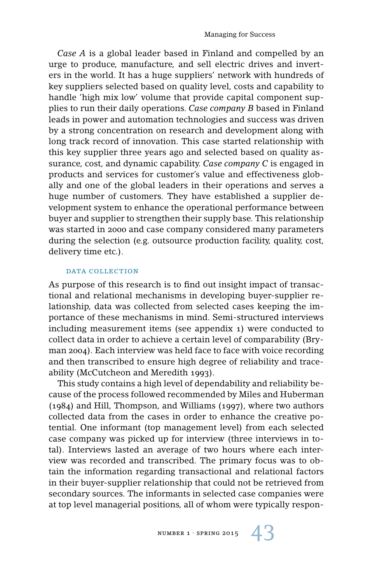*Case A* is a global leader based in Finland and compelled by an urge to produce, manufacture, and sell electric drives and inverters in the world. It has a huge suppliers' network with hundreds of key suppliers selected based on quality level, costs and capability to handle 'high mix low' volume that provide capital component supplies to run their daily operations. *Case company B* based in Finland leads in power and automation technologies and success was driven by a strong concentration on research and development along with long track record of innovation. This case started relationship with this key supplier three years ago and selected based on quality assurance, cost, and dynamic capability. *Case company C* is engaged in products and services for customer's value and effectiveness globally and one of the global leaders in their operations and serves a huge number of customers. They have established a supplier development system to enhance the operational performance between buyer and supplier to strengthen their supply base. This relationship was started in 2000 and case company considered many parameters during the selection (e.g. outsource production facility, quality, cost, delivery time etc.).

#### DATA COLLECTION

As purpose of this research is to find out insight impact of transactional and relational mechanisms in developing buyer-supplier relationship, data was collected from selected cases keeping the importance of these mechanisms in mind. Semi-structured interviews including measurement items (see appendix 1) were conducted to collect data in order to achieve a certain level of comparability (Bryman 2004). Each interview was held face to face with voice recording and then transcribed to ensure high degree of reliability and traceability (McCutcheon and Meredith 1993).

This study contains a high level of dependability and reliability because of the process followed recommended by Miles and Huberman (1984) and Hill, Thompson, and Williams (1997), where two authors collected data from the cases in order to enhance the creative potential. One informant (top management level) from each selected case company was picked up for interview (three interviews in total). Interviews lasted an average of two hours where each interview was recorded and transcribed. The primary focus was to obtain the information regarding transactional and relational factors in their buyer-supplier relationship that could not be retrieved from secondary sources. The informants in selected case companies were at top level managerial positions, all of whom were typically respon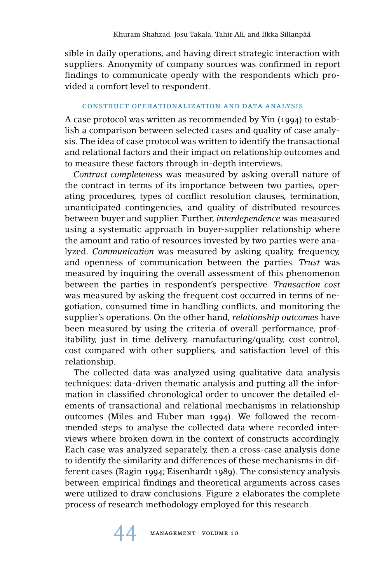sible in daily operations, and having direct strategic interaction with suppliers. Anonymity of company sources was confirmed in report findings to communicate openly with the respondents which provided a comfort level to respondent.

## construct operationalization and data analysis

A case protocol was written as recommended by Yin (1994) to establish a comparison between selected cases and quality of case analysis. The idea of case protocol was written to identify the transactional and relational factors and their impact on relationship outcomes and to measure these factors through in-depth interviews.

*Contract completeness* was measured by asking overall nature of the contract in terms of its importance between two parties, operating procedures, types of conflict resolution clauses, termination, unanticipated contingencies, and quality of distributed resources between buyer and supplier. Further, *interdependence* was measured using a systematic approach in buyer-supplier relationship where the amount and ratio of resources invested by two parties were analyzed. *Communication* was measured by asking quality, frequency, and openness of communication between the parties. *Trust* was measured by inquiring the overall assessment of this phenomenon between the parties in respondent's perspective. *Transaction cost* was measured by asking the frequent cost occurred in terms of negotiation, consumed time in handling conflicts, and monitoring the supplier's operations. On the other hand, *relationship outcomes* have been measured by using the criteria of overall performance, profitability, just in time delivery, manufacturing/quality, cost control, cost compared with other suppliers, and satisfaction level of this relationship.

The collected data was analyzed using qualitative data analysis techniques: data-driven thematic analysis and putting all the information in classified chronological order to uncover the detailed elements of transactional and relational mechanisms in relationship outcomes (Miles and Huber man 1994). We followed the recommended steps to analyse the collected data where recorded interviews where broken down in the context of constructs accordingly. Each case was analyzed separately, then a cross-case analysis done to identify the similarity and differences of these mechanisms in different cases (Ragin 1994; Eisenhardt 1989). The consistency analysis between empirical findings and theoretical arguments across cases were utilized to draw conclusions. Figure 2 elaborates the complete process of research methodology employed for this research.

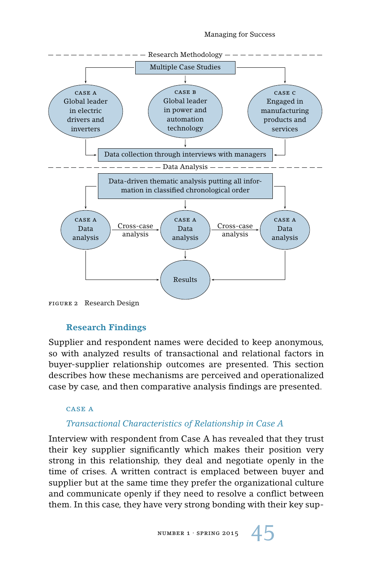

## **Research Findings**

Supplier and respondent names were decided to keep anonymous, so with analyzed results of transactional and relational factors in buyer-supplier relationship outcomes are presented. This section describes how these mechanisms are perceived and operationalized case by case, and then comparative analysis findings are presented.

### case a

## *Transactional Characteristics of Relationship in Case A*

Interview with respondent from Case A has revealed that they trust their key supplier significantly which makes their position very strong in this relationship, they deal and negotiate openly in the time of crises. A written contract is emplaced between buyer and supplier but at the same time they prefer the organizational culture and communicate openly if they need to resolve a conflict between them. In this case, they have very strong bonding with their key sup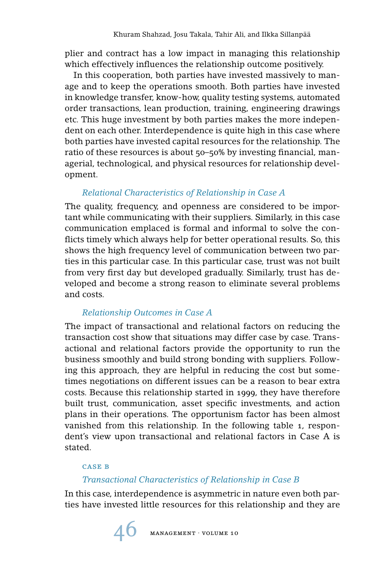plier and contract has a low impact in managing this relationship which effectively influences the relationship outcome positively.

In this cooperation, both parties have invested massively to manage and to keep the operations smooth. Both parties have invested in knowledge transfer, know-how, quality testing systems, automated order transactions, lean production, training, engineering drawings etc. This huge investment by both parties makes the more independent on each other. Interdependence is quite high in this case where both parties have invested capital resources for the relationship. The ratio of these resources is about 50–50% by investing financial, managerial, technological, and physical resources for relationship development.

## *Relational Characteristics of Relationship in Case A*

The quality, frequency, and openness are considered to be important while communicating with their suppliers. Similarly, in this case communication emplaced is formal and informal to solve the conflicts timely which always help for better operational results. So, this shows the high frequency level of communication between two parties in this particular case. In this particular case, trust was not built from very first day but developed gradually. Similarly, trust has developed and become a strong reason to eliminate several problems and costs.

## *Relationship Outcomes in Case A*

The impact of transactional and relational factors on reducing the transaction cost show that situations may differ case by case. Transactional and relational factors provide the opportunity to run the business smoothly and build strong bonding with suppliers. Following this approach, they are helpful in reducing the cost but sometimes negotiations on different issues can be a reason to bear extra costs. Because this relationship started in 1999, they have therefore built trust, communication, asset specific investments, and action plans in their operations. The opportunism factor has been almost vanished from this relationship. In the following table 1, respondent's view upon transactional and relational factors in Case A is stated.

## case b

## *Transactional Characteristics of Relationship in Case B*

In this case, interdependence is asymmetric in nature even both parties have invested little resources for this relationship and they are

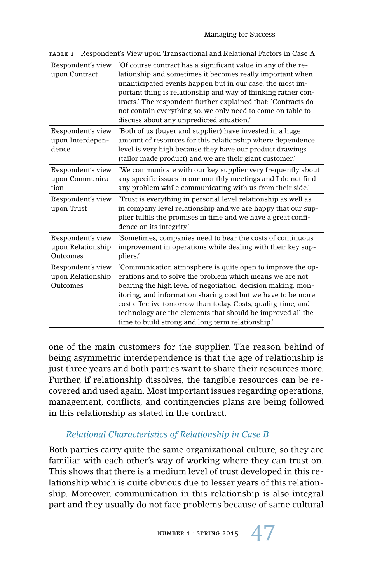| Respondent's view<br>upon Contract                 | 'Of course contract has a significant value in any of the re-<br>lationship and sometimes it becomes really important when<br>unanticipated events happen but in our case, the most im-<br>portant thing is relationship and way of thinking rather con-<br>tracts.' The respondent further explained that: 'Contracts do<br>not contain everything so, we only need to come on table to<br>discuss about any unpredicted situation."       |
|----------------------------------------------------|---------------------------------------------------------------------------------------------------------------------------------------------------------------------------------------------------------------------------------------------------------------------------------------------------------------------------------------------------------------------------------------------------------------------------------------------|
| Respondent's view<br>upon Interdepen-<br>dence     | 'Both of us (buyer and supplier) have invested in a huge<br>amount of resources for this relationship where dependence<br>level is very high because they have our product drawings<br>(tailor made product) and we are their giant customer.'                                                                                                                                                                                              |
| Respondent's view<br>upon Communica-<br>tion       | 'We communicate with our key supplier very frequently about<br>any specific issues in our monthly meetings and I do not find<br>any problem while communicating with us from their side.                                                                                                                                                                                                                                                    |
| Respondent's view<br>upon Trust                    | Trust is everything in personal level relationship as well as<br>in company level relationship and we are happy that our sup-<br>plier fulfils the promises in time and we have a great confi-<br>dence on its integrity.'                                                                                                                                                                                                                  |
| Respondent's view<br>upon Relationship<br>Outcomes | 'Sometimes, companies need to bear the costs of continuous<br>improvement in operations while dealing with their key sup-<br>pliers.'                                                                                                                                                                                                                                                                                                       |
| Respondent's view<br>upon Relationship<br>Outcomes | 'Communication atmosphere is quite open to improve the op-<br>erations and to solve the problem which means we are not<br>bearing the high level of negotiation, decision making, mon-<br>itoring, and information sharing cost but we have to be more<br>cost effective tomorrow than today. Costs, quality, time, and<br>technology are the elements that should be improved all the<br>time to build strong and long term relationship." |

table 1 Respondent's View upon Transactional and Relational Factors in Case A

one of the main customers for the supplier. The reason behind of being asymmetric interdependence is that the age of relationship is just three years and both parties want to share their resources more. Further, if relationship dissolves, the tangible resources can be recovered and used again. Most important issues regarding operations, management, conflicts, and contingencies plans are being followed in this relationship as stated in the contract.

## *Relational Characteristics of Relationship in Case B*

Both parties carry quite the same organizational culture, so they are familiar with each other's way of working where they can trust on. This shows that there is a medium level of trust developed in this relationship which is quite obvious due to lesser years of this relationship. Moreover, communication in this relationship is also integral part and they usually do not face problems because of same cultural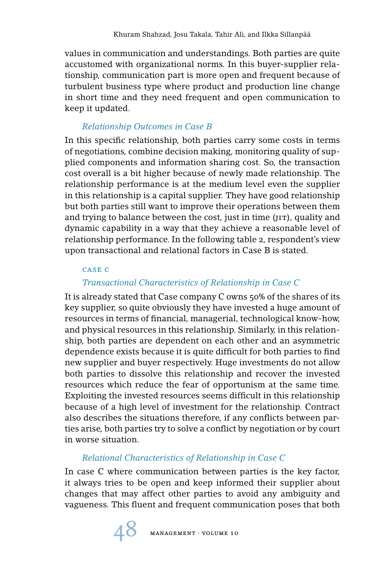values in communication and understandings. Both parties are quite accustomed with organizational norms. In this buyer-supplier relationship, communication part is more open and frequent because of turbulent business type where product and production line change in short time and they need frequent and open communication to keep it updated.

## *Relationship Outcomes in Case B*

In this specific relationship, both parties carry some costs in terms of negotiations, combine decision making, monitoring quality of supplied components and information sharing cost. So, the transaction cost overall is a bit higher because of newly made relationship. The relationship performance is at the medium level even the supplier in this relationship is a capital supplier. They have good relationship but both parties still want to improve their operations between them and trying to balance between the cost, just in time ( $j$ IT), quality and dynamic capability in a way that they achieve a reasonable level of relationship performance. In the following table 2, respondent's view upon transactional and relational factors in Case B is stated.

## case c

## *Transactional Characteristics of Relationship in Case C*

It is already stated that Case company C owns 50% of the shares of its key supplier, so quite obviously they have invested a huge amount of resources in terms of financial, managerial, technological know-how, and physical resources in this relationship. Similarly, in this relationship, both parties are dependent on each other and an asymmetric dependence exists because it is quite difficult for both parties to find new supplier and buyer respectively. Huge investments do not allow both parties to dissolve this relationship and recover the invested resources which reduce the fear of opportunism at the same time. Exploiting the invested resources seems difficult in this relationship because of a high level of investment for the relationship. Contract also describes the situations therefore, if any conflicts between parties arise, both parties try to solve a conflict by negotiation or by court in worse situation.

## *Relational Characteristics of Relationship in Case C*

In case C where communication between parties is the key factor, it always tries to be open and keep informed their supplier about changes that may affect other parties to avoid any ambiguity and vagueness. This fluent and frequent communication poses that both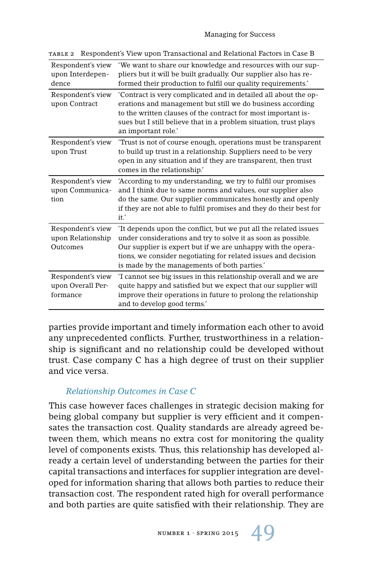| Respondent's view<br>upon Interdepen-<br>dence     | 'We want to share our knowledge and resources with our sup-<br>pliers but it will be built gradually. Our supplier also has re-<br>formed their production to fulfil our quality requirements.'                                                                                                                    |
|----------------------------------------------------|--------------------------------------------------------------------------------------------------------------------------------------------------------------------------------------------------------------------------------------------------------------------------------------------------------------------|
| Respondent's view<br>upon Contract                 | 'Contract is very complicated and in detailed all about the op-<br>erations and management but still we do business according<br>to the written clauses of the contract for most important is-<br>sues but I still believe that in a problem situation, trust plays<br>an important role.'                         |
| Respondent's view<br>upon Trust                    | Trust is not of course enough, operations must be transparent<br>to build up trust in a relationship. Suppliers need to be very<br>open in any situation and if they are transparent, then trust<br>comes in the relationship."                                                                                    |
| Respondent's view<br>upon Communica-<br>tion       | 'According to my understanding, we try to fulfil our promises<br>and I think due to same norms and values, our supplier also<br>do the same. Our supplier communicates honestly and openly<br>if they are not able to fulfil promises and they do their best for<br>it.'                                           |
| Respondent's view<br>upon Relationship<br>Outcomes | It depends upon the conflict, but we put all the related issues<br>under considerations and try to solve it as soon as possible.<br>Our supplier is expert but if we are unhappy with the opera-<br>tions, we consider negotiating for related issues and decision<br>is made by the managements of both parties.' |
| Respondent's view<br>upon Overall Per-<br>formance | 'I cannot see big issues in this relationship overall and we are<br>quite happy and satisfied but we expect that our supplier will<br>improve their operations in future to prolong the relationship<br>and to develop good terms.'                                                                                |

table 2 Respondent's View upon Transactional and Relational Factors in Case B

parties provide important and timely information each other to avoid any unprecedented conflicts. Further, trustworthiness in a relationship is significant and no relationship could be developed without trust. Case company C has a high degree of trust on their supplier and vice versa.

## *Relationship Outcomes in Case C*

This case however faces challenges in strategic decision making for being global company but supplier is very efficient and it compensates the transaction cost. Quality standards are already agreed between them, which means no extra cost for monitoring the quality level of components exists. Thus, this relationship has developed already a certain level of understanding between the parties for their capital transactions and interfaces for supplier integration are developed for information sharing that allows both parties to reduce their transaction cost. The respondent rated high for overall performance and both parties are quite satisfied with their relationship. They are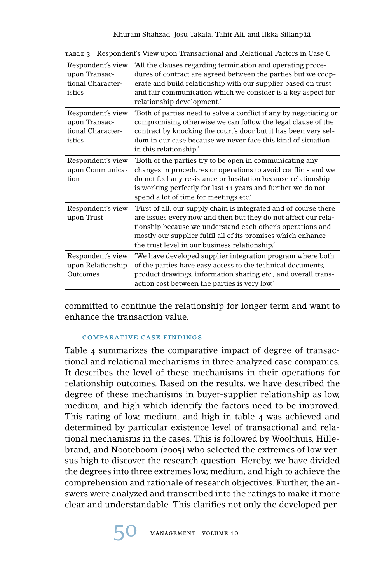| Respondent's view<br>upon Transac-<br>tional Character-<br>istics | 'All the clauses regarding termination and operating proce-<br>dures of contract are agreed between the parties but we coop-<br>erate and build relationship with our supplier based on trust<br>and fair communication which we consider is a key aspect for<br>relationship development.'                         |
|-------------------------------------------------------------------|---------------------------------------------------------------------------------------------------------------------------------------------------------------------------------------------------------------------------------------------------------------------------------------------------------------------|
| Respondent's view<br>upon Transac-<br>tional Character-<br>istics | 'Both of parties need to solve a conflict if any by negotiating or<br>compromising otherwise we can follow the legal clause of the<br>contract by knocking the court's door but it has been very sel-<br>dom in our case because we never face this kind of situation<br>in this relationship.'                     |
| Respondent's view<br>upon Communica-<br>tion                      | Both of the parties try to be open in communicating any<br>changes in procedures or operations to avoid conflicts and we<br>do not feel any resistance or hesitation because relationship<br>is working perfectly for last 11 years and further we do not<br>spend a lot of time for meetings etc.'                 |
| Respondent's view<br>upon Trust                                   | 'First of all, our supply chain is integrated and of course there<br>are issues every now and then but they do not affect our rela-<br>tionship because we understand each other's operations and<br>mostly our supplier fulfil all of its promises which enhance<br>the trust level in our business relationship." |
| Respondent's view<br>upon Relationship<br>Outcomes                | 'We have developed supplier integration program where both<br>of the parties have easy access to the technical documents,<br>product drawings, information sharing etc., and overall trans-<br>action cost between the parties is very low.'                                                                        |

table 3 Respondent's View upon Transactional and Relational Factors in Case C

committed to continue the relationship for longer term and want to enhance the transaction value.

#### comparative case findings

Table 4 summarizes the comparative impact of degree of transactional and relational mechanisms in three analyzed case companies. It describes the level of these mechanisms in their operations for relationship outcomes. Based on the results, we have described the degree of these mechanisms in buyer-supplier relationship as low, medium, and high which identify the factors need to be improved. This rating of low, medium, and high in table 4 was achieved and determined by particular existence level of transactional and relational mechanisms in the cases. This is followed by Woolthuis, Hillebrand, and Nooteboom (2005) who selected the extremes of low versus high to discover the research question. Hereby, we have divided the degrees into three extremes low, medium, and high to achieve the comprehension and rationale of research objectives. Further, the answers were analyzed and transcribed into the ratings to make it more clear and understandable. This clarifies not only the developed per-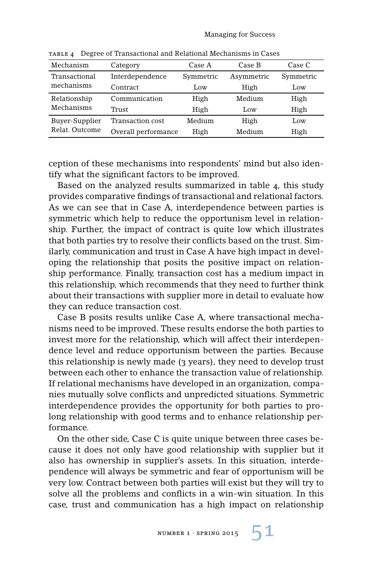| Mechanism                        | Category            | Case A    | Case B     | Case C    |
|----------------------------------|---------------------|-----------|------------|-----------|
| Transactional<br>mechanisms      | Interdependence     | Symmetric | Asymmetric | Symmetric |
|                                  | Contract            | Low       | High       | Low       |
| Relationship<br>Mechanisms       | Communication       | High      | Medium     | High      |
|                                  | Trust               | High      | Low        | High      |
| Buyer-Supplier<br>Relat. Outcome | Transaction cost    | Medium    | High       | Low       |
|                                  | Overall performance | High      | Medium     | High      |

table 4 Degree of Transactional and Relational Mechanisms in Cases

ception of these mechanisms into respondents' mind but also identify what the significant factors to be improved.

Based on the analyzed results summarized in table 4, this study provides comparative findings of transactional and relational factors. As we can see that in Case A, interdependence between parties is symmetric which help to reduce the opportunism level in relationship. Further, the impact of contract is quite low which illustrates that both parties try to resolve their conflicts based on the trust. Similarly, communication and trust in Case A have high impact in developing the relationship that posits the positive impact on relationship performance. Finally, transaction cost has a medium impact in this relationship, which recommends that they need to further think about their transactions with supplier more in detail to evaluate how they can reduce transaction cost.

Case B posits results unlike Case A, where transactional mechanisms need to be improved. These results endorse the both parties to invest more for the relationship, which will affect their interdependence level and reduce opportunism between the parties. Because this relationship is newly made (3 years), they need to develop trust between each other to enhance the transaction value of relationship. If relational mechanisms have developed in an organization, companies mutually solve conflicts and unpredicted situations. Symmetric interdependence provides the opportunity for both parties to prolong relationship with good terms and to enhance relationship performance.

On the other side, Case C is quite unique between three cases because it does not only have good relationship with supplier but it also has ownership in supplier's assets. In this situation, interdependence will always be symmetric and fear of opportunism will be very low. Contract between both parties will exist but they will try to solve all the problems and conflicts in a win-win situation. In this case, trust and communication has a high impact on relationship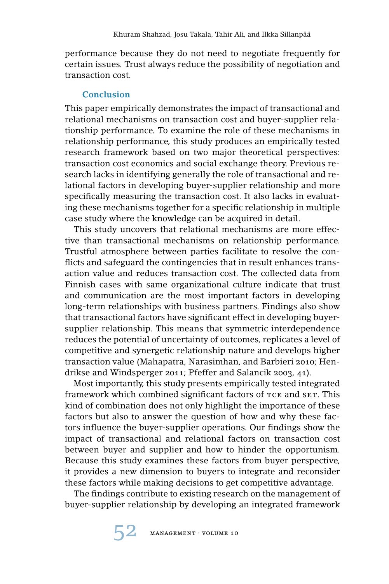performance because they do not need to negotiate frequently for certain issues. Trust always reduce the possibility of negotiation and transaction cost.

## **Conclusion**

This paper empirically demonstrates the impact of transactional and relational mechanisms on transaction cost and buyer-supplier relationship performance. To examine the role of these mechanisms in relationship performance, this study produces an empirically tested research framework based on two major theoretical perspectives: transaction cost economics and social exchange theory. Previous research lacks in identifying generally the role of transactional and relational factors in developing buyer-supplier relationship and more specifically measuring the transaction cost. It also lacks in evaluating these mechanisms together for a specific relationship in multiple case study where the knowledge can be acquired in detail.

This study uncovers that relational mechanisms are more effective than transactional mechanisms on relationship performance. Trustful atmosphere between parties facilitate to resolve the conflicts and safeguard the contingencies that in result enhances transaction value and reduces transaction cost. The collected data from Finnish cases with same organizational culture indicate that trust and communication are the most important factors in developing long-term relationships with business partners. Findings also show that transactional factors have significant effect in developing buyersupplier relationship. This means that symmetric interdependence reduces the potential of uncertainty of outcomes, replicates a level of competitive and synergetic relationship nature and develops higher transaction value (Mahapatra, Narasimhan, and Barbieri 2010; Hendrikse and Windsperger 2011; Pfeffer and Salancik 2003, 41).

Most importantly, this study presents empirically tested integrated framework which combined significant factors of TCE and SET. This kind of combination does not only highlight the importance of these factors but also to answer the question of how and why these factors influence the buyer-supplier operations. Our findings show the impact of transactional and relational factors on transaction cost between buyer and supplier and how to hinder the opportunism. Because this study examines these factors from buyer perspective, it provides a new dimension to buyers to integrate and reconsider these factors while making decisions to get competitive advantage.

The findings contribute to existing research on the management of buyer-supplier relationship by developing an integrated framework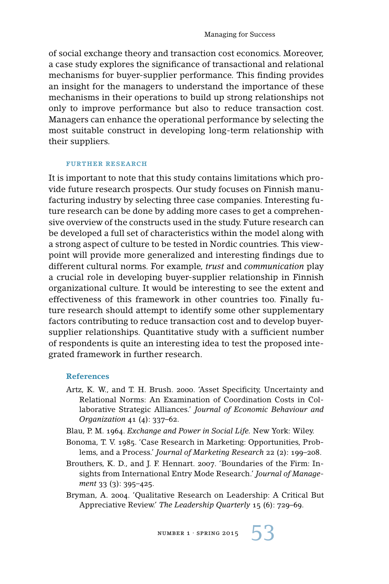of social exchange theory and transaction cost economics. Moreover, a case study explores the significance of transactional and relational mechanisms for buyer-supplier performance. This finding provides an insight for the managers to understand the importance of these mechanisms in their operations to build up strong relationships not only to improve performance but also to reduce transaction cost. Managers can enhance the operational performance by selecting the most suitable construct in developing long-term relationship with their suppliers.

#### FURTHER RESEARCH

It is important to note that this study contains limitations which provide future research prospects. Our study focuses on Finnish manufacturing industry by selecting three case companies. Interesting future research can be done by adding more cases to get a comprehensive overview of the constructs used in the study. Future research can be developed a full set of characteristics within the model along with a strong aspect of culture to be tested in Nordic countries. This viewpoint will provide more generalized and interesting findings due to different cultural norms. For example, *trust* and *communication* play a crucial role in developing buyer-supplier relationship in Finnish organizational culture. It would be interesting to see the extent and effectiveness of this framework in other countries too. Finally future research should attempt to identify some other supplementary factors contributing to reduce transaction cost and to develop buyersupplier relationships. Quantitative study with a sufficient number of respondents is quite an interesting idea to test the proposed integrated framework in further research.

#### **References**

- Artz, K. W., and T. H. Brush. 2000. 'Asset Specificity, Uncertainty and Relational Norms: An Examination of Coordination Costs in Collaborative Strategic Alliances.' *Journal of Economic Behaviour and Organization* 41 (4): 337–62.
- Blau, P. M. 1964. *Exchange and Power in Social Life.* New York: Wiley.
- Bonoma, T. V. 1985. 'Case Research in Marketing: Opportunities, Problems, and a Process.' *Journal of Marketing Research* 22 (2): 199–208.
- Brouthers, K. D., and J. F. Hennart. 2007. 'Boundaries of the Firm: Insights from International Entry Mode Research.' *Journal of Management* 33 (3): 395–425.
- Bryman, A. 2004. 'Qualitative Research on Leadership: A Critical But Appreciative Review.' *The Leadership Quarterly* 15 (6): 729–69.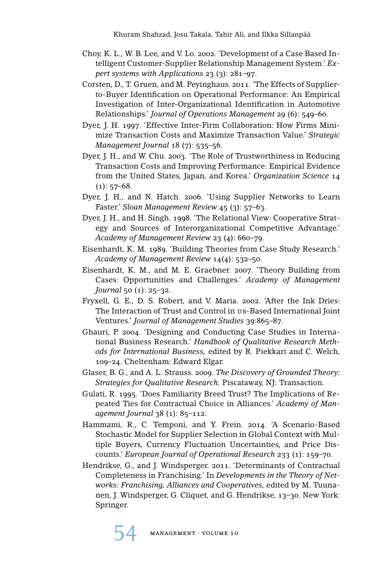- Choy, K. L., W. B. Lee, and V. Lo. 2002. 'Development of a Case Based Intelligent Customer-Supplier Relationship Management System.' *Expert systems with Applications* 23 (3): 281–97.
- Corsten, D., T. Gruen, and M. Peyinghaus. 2011. 'The Effects of Supplierto-Buyer Identification on Operational Performance: An Empirical Investigation of Inter-Organizational Identification in Automotive Relationships.' *Journal of Operations Management* 29 (6): 549–60.
- Dyer, J. H. 1997. 'Effective Inter-Firm Collaboration: How Firms Minimize Transaction Costs and Maximize Transaction Value.' *Strategic Management Journal* 18 (7): 535–56.
- Dyer, J. H., and W. Chu. 2003. 'The Role of Trustworthiness in Reducing Transaction Costs and Improving Performance: Empirical Evidence from the United States, Japan, and Korea.' *Organization Science* 14  $(1): 57-68.$
- Dyer, J. H., and N. Hatch. 2006. 'Using Supplier Networks to Learn Faster.' *Sloan Management Review* 45 (3): 57–63.
- Dyer, J. H., and H. Singh. 1998. 'The Relational View: Cooperative Strategy and Sources of Interorganizational Competitive Advantage.' *Academy of Management Review* 23 (4): 660–79.
- Eisenhardt, K. M. 1989. 'Building Theories from Case Study Research.' *Academy of Management Review* 14(4): 532–50.
- Eisenhardt, K. M., and M. E. Graebner. 2007. 'Theory Building from Cases: Opportunities and Challenges.' *Academy of Management Journal* 50 (1): 25–32.
- Fryxell, G. E., D. S. Robert, and V. Maria. 2002. 'After the Ink Dries: The Interaction of Trust and Control in us-Based International Joint Ventures.' *Journal of Management Studies* 39:865–87.
- Ghauri, P. 2004. 'Designing and Conducting Case Studies in International Business Research.' *Handbook of Qualitative Research Methods for International Business,* edited by R. Piekkari and C. Welch, 109–24. Cheltenham: Edward Elgar.
- Glaser, B. G., and A. L. Strauss. 2009. *The Discovery of Grounded Theory: Strategies for Qualitative Research.* Piscataway, NJ: Transaction.
- Gulati, R. 1995. 'Does Familiarity Breed Trust? The Implications of Repeated Ties for Contractual Choice in Alliances.' *Academy of Management Journal* 38 (1): 85–112.
- Hammami, R., C. Temponi, and Y. Frein. 2014. 'A Scenario-Based Stochastic Model for Supplier Selection in Global Context with Multiple Buyers, Currency Fluctuation Uncertainties, and Price Discounts.' *European Journal of Operational Research* 233 (1): 159–70.
- Hendrikse, G., and J. Windsperger. 2011. 'Determinants of Contractual Completeness in Franchising.' In *Developments in the Theory of Networks: Franchising, Alliances and Cooperatives,* edited by M. Tuunanen, J. Windsperger, G. Cliquet, and G. Hendrikse, 13–30. New York: Springer.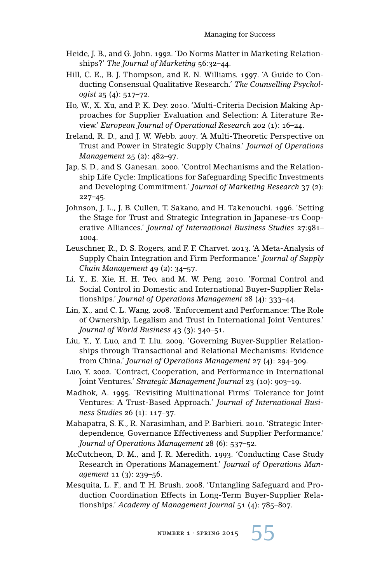- Heide, J. B., and G. John. 1992. 'Do Norms Matter in Marketing Relationships?' *The Journal of Marketing* 56:32–44.
- Hill, C. E., B. J. Thompson, and E. N. Williams. 1997. 'A Guide to Conducting Consensual Qualitative Research.' *The Counselling Psychologist* 25 (4): 517–72.
- Ho, W., X. Xu, and P. K. Dey. 2010. 'Multi-Criteria Decision Making Approaches for Supplier Evaluation and Selection: A Literature Review.' *European Journal of Operational Research* 202 (1): 16–24.
- Ireland, R. D., and J. W. Webb. 2007. 'A Multi-Theoretic Perspective on Trust and Power in Strategic Supply Chains.' *Journal of Operations Management* 25 (2): 482–97.
- Jap, S. D., and S. Ganesan. 2000. 'Control Mechanisms and the Relationship Life Cycle: Implications for Safeguarding Specific Investments and Developing Commitment.' *Journal of Marketing Research* 37 (2): 227–45.
- Johnson, J. L., J. B. Cullen, T. Sakano, and H. Takenouchi. 1996. 'Setting the Stage for Trust and Strategic Integration in Japanese–us Cooperative Alliances.' *Journal of International Business Studies* 27:981– 1004.
- Leuschner, R., D. S. Rogers, and F. F. Charvet. 2013. 'A Meta-Analysis of Supply Chain Integration and Firm Performance.' *Journal of Supply Chain Management* 49 (2): 34–57.
- Li, Y., E. Xie, H. H. Teo, and M. W. Peng. 2010. 'Formal Control and Social Control in Domestic and International Buyer-Supplier Relationships.' *Journal of Operations Management* 28 (4): 333–44.
- Lin, X., and C. L. Wang. 2008. 'Enforcement and Performance: The Role of Ownership, Legalism and Trust in International Joint Ventures.' *Journal of World Business* 43 (3): 340–51.
- Liu, Y., Y. Luo, and T. Liu. 2009. 'Governing Buyer-Supplier Relationships through Transactional and Relational Mechanisms: Evidence from China.' *Journal of Operations Management* 27 (4): 294–309.
- Luo, Y. 2002. 'Contract, Cooperation, and Performance in International Joint Ventures.' *Strategic Management Journal* 23 (10): 903–19.
- Madhok, A. 1995. 'Revisiting Multinational Firms' Tolerance for Joint Ventures: A Trust-Based Approach.' *Journal of International Business Studies* 26 (1): 117–37.
- Mahapatra, S. K., R. Narasimhan, and P. Barbieri. 2010. 'Strategic Interdependence, Governance Effectiveness and Supplier Performance.' *Journal of Operations Management* 28 (6): 537–52.
- McCutcheon, D. M., and J. R. Meredith. 1993. 'Conducting Case Study Research in Operations Management.' *Journal of Operations Management* 11 (3): 239–56.
- Mesquita, L. F., and T. H. Brush. 2008. 'Untangling Safeguard and Production Coordination Effects in Long-Term Buyer-Supplier Relationships.' *Academy of Management Journal* 51 (4): 785–807.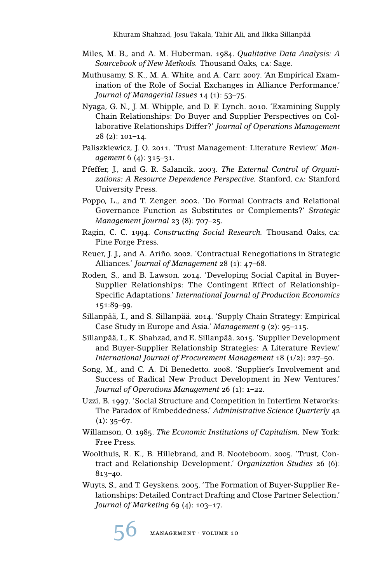- Miles, M. B., and A. M. Huberman. 1984. *Qualitative Data Analysis: A Sourcebook of New Methods.* Thousand Oaks, ca: Sage.
- Muthusamy, S. K., M. A. White, and A. Carr. 2007. 'An Empirical Examination of the Role of Social Exchanges in Alliance Performance.' *Journal of Managerial Issues* 14 (1): 53–75.
- Nyaga, G. N., J. M. Whipple, and D. F. Lynch. 2010. 'Examining Supply Chain Relationships: Do Buyer and Supplier Perspectives on Collaborative Relationships Differ?' *Journal of Operations Management* 28 (2): 101–14.
- Paliszkiewicz, J. O. 2011. 'Trust Management: Literature Review.' *Management* 6 (4): 315–31.
- Pfeffer, J., and G. R. Salancik. 2003. *The External Control of Organizations: A Resource Dependence Perspective.* Stanford, ca: Stanford University Press.
- Poppo, L., and T. Zenger. 2002. 'Do Formal Contracts and Relational Governance Function as Substitutes or Complements?' *Strategic Management Journal* 23 (8): 707–25.
- Ragin, C. C. 1994. *Constructing Social Research.* Thousand Oaks, ca: Pine Forge Press.
- Reuer, J. J., and A. Ariño. 2002. 'Contractual Renegotiations in Strategic Alliances.' *Journal of Management* 28 (1): 47–68.
- Roden, S., and B. Lawson. 2014. 'Developing Social Capital in Buyer-Supplier Relationships: The Contingent Effect of Relationship-Specific Adaptations.' *International Journal of Production Economics* 151:89–99.
- Sillanpää, I., and S. Sillanpää. 2014. 'Supply Chain Strategy: Empirical Case Study in Europe and Asia.' *Management* 9 (2): 95–115.
- Sillanpää, I., K. Shahzad, and E. Sillanpää. 2015. 'Supplier Development and Buyer-Supplier Relationship Strategies: A Literature Review.' *International Journal of Procurement Management* 18 (1/2): 227–50.
- Song, M., and C. A. Di Benedetto. 2008. 'Supplier's Involvement and Success of Radical New Product Development in New Ventures.' *Journal of Operations Management* 26 (1): 1–22.
- Uzzi, B. 1997. 'Social Structure and Competition in Interfirm Networks: The Paradox of Embeddedness.' *Administrative Science Quarterly* 42  $(1): 35-67.$
- Willamson, O. 1985. *The Economic Institutions of Capitalism.* New York: Free Press.
- Woolthuis, R. K., B. Hillebrand, and B. Nooteboom. 2005. 'Trust, Contract and Relationship Development.' *Organization Studies* 26 (6): 813–40.
- Wuyts, S., and T. Geyskens. 2005. 'The Formation of Buyer-Supplier Relationships: Detailed Contract Drafting and Close Partner Selection.' *Journal of Marketing* 69 (4): 103–17.

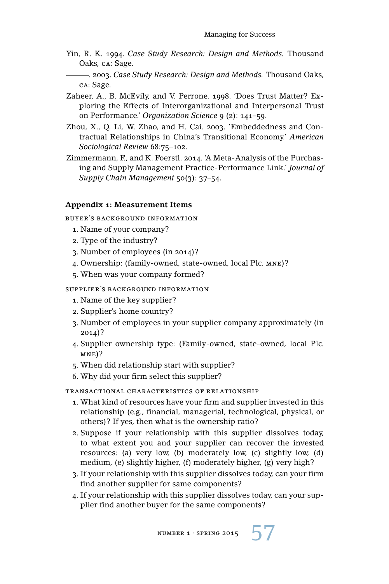Yin, R. K. 1994. *Case Study Research: Design and Methods.* Thousand Oaks, ca: Sage.

. 2003. *Case Study Research: Design and Methods.* Thousand Oaks, ca: Sage.

- Zaheer, A., B. McEvily, and V. Perrone. 1998. 'Does Trust Matter? Exploring the Effects of Interorganizational and Interpersonal Trust on Performance.' *Organization Science* 9 (2): 141–59.
- Zhou, X., Q. Li, W. Zhao, and H. Cai. 2003. 'Embeddedness and Contractual Relationships in China's Transitional Economy.' *American Sociological Review* 68:75–102.
- Zimmermann, F., and K. Foerstl. 2014. 'A Meta-Analysis of the Purchasing and Supply Management Practice-Performance Link.' *Journal of Supply Chain Management* 50(3): 37–54.

### **Appendix 1: Measurement Items**

buyer's background information

- 1. Name of your company?
- 2. Type of the industry?
- 3. Number of employees (in 2014)?
- 4. Ownership: (family-owned, state-owned, local Plc. mne)?
- 5. When was your company formed?

#### supplier's background information

- 1. Name of the key supplier?
- 2. Supplier's home country?
- 3. Number of employees in your supplier company approximately (in 2014)?
- 4. Supplier ownership type: (Family-owned, state-owned, local Plc.  $MNE$ )?
- 5. When did relationship start with supplier?
- 6. Why did your firm select this supplier?

#### transactional characteristics of relationship

- 1. What kind of resources have your firm and supplier invested in this relationship (e.g., financial, managerial, technological, physical, or others)? If yes, then what is the ownership ratio?
- 2. Suppose if your relationship with this supplier dissolves today, to what extent you and your supplier can recover the invested resources: (a) very low, (b) moderately low, (c) slightly low, (d) medium, (e) slightly higher, (f) moderately higher, (g) very high?
- 3. If your relationship with this supplier dissolves today, can your firm find another supplier for same components?
- 4. If your relationship with this supplier dissolves today, can your supplier find another buyer for the same components?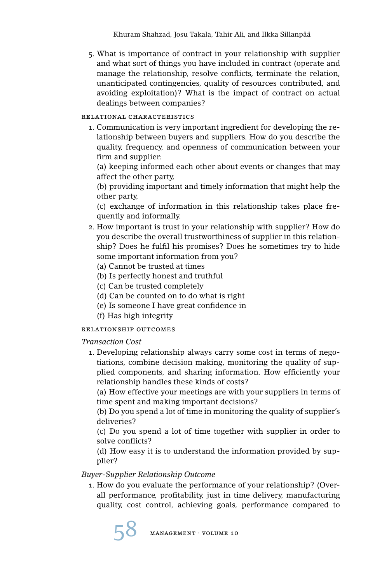5. What is importance of contract in your relationship with supplier and what sort of things you have included in contract (operate and manage the relationship, resolve conflicts, terminate the relation, unanticipated contingencies, quality of resources contributed, and avoiding exploitation)? What is the impact of contract on actual dealings between companies?

#### relational characteristics

1. Communication is very important ingredient for developing the relationship between buyers and suppliers. How do you describe the quality, frequency, and openness of communication between your firm and supplier:

(a) keeping informed each other about events or changes that may affect the other party,

(b) providing important and timely information that might help the other party,

(c) exchange of information in this relationship takes place frequently and informally.

- 2. How important is trust in your relationship with supplier? How do you describe the overall trustworthiness of supplier in this relationship? Does he fulfil his promises? Does he sometimes try to hide some important information from you?
	- (a) Cannot be trusted at times
	- (b) Is perfectly honest and truthful
	- (c) Can be trusted completely
	- (d) Can be counted on to do what is right
	- (e) Is someone I have great confidence in
	- (f) Has high integrity

### relationship outcomes

### *Transaction Cost*

1. Developing relationship always carry some cost in terms of negotiations, combine decision making, monitoring the quality of supplied components, and sharing information. How efficiently your relationship handles these kinds of costs?

(a) How effective your meetings are with your suppliers in terms of time spent and making important decisions?

(b) Do you spend a lot of time in monitoring the quality of supplier's deliveries?

(c) Do you spend a lot of time together with supplier in order to solve conflicts?

(d) How easy it is to understand the information provided by supplier?

### *Buyer-Supplier Relationship Outcome*

1. How do you evaluate the performance of your relationship? (Overall performance, profitability, just in time delivery, manufacturing quality, cost control, achieving goals, performance compared to